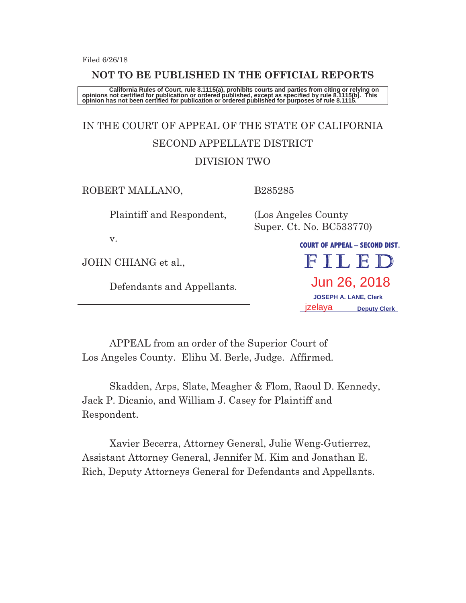#### **NOT TO BE PUBLISHED IN THE OFFICIAL REPORTS**

California Rules of Court, rule 8.1115(a), prohibits courts and parties from citing or relying on<br>opinions not certified for publication or ordered published, except as specified by rule 8.1115(b). This<br>opinion has not bee

# IN THE COURT OF APPEAL OF THE STATE OF CALIFORNIA SECOND APPELLATE DISTRICT DIVISION TWO

ROBERT MALLANO,

B285285

Plaintiff and Respondent,

v.

JOHN CHIANG et al.,

Defendants and Appellants.

(Los Angeles County Super. Ct. No. BC533770)

> **COURT OF APPEAL – SECOND DIST.**  FILED Jun 26, 2018  **JOSEPH A. LANE, Clerk**  izelava  **Deputy Clerk**

APPEAL from an order of the Superior Court of Los Angeles County. Elihu M. Berle, Judge. Affirmed.

Skadden, Arps, Slate, Meagher & Flom, Raoul D. Kennedy, Jack P. Dicanio, and William J. Casey for Plaintiff and Respondent.

Xavier Becerra, Attorney General, Julie Weng-Gutierrez, Assistant Attorney General, Jennifer M. Kim and Jonathan E. Rich, Deputy Attorneys General for Defendants and Appellants.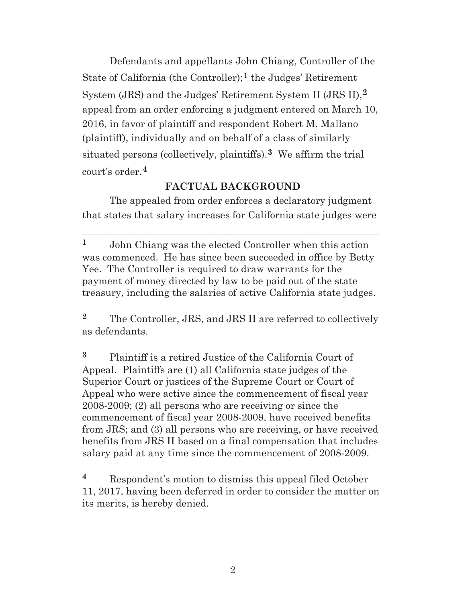Defendants and appellants John Chiang, Controller of the State of California (the Controller);**1** the Judges' Retirement System (JRS) and the Judges' Retirement System II (JRS II),**2** appeal from an order enforcing a judgment entered on March 10, 2016, in favor of plaintiff and respondent Robert M. Mallano (plaintiff), individually and on behalf of a class of similarly situated persons (collectively, plaintiffs).**3** We affirm the trial court's order.**4**

## **FACTUAL BACKGROUND**

The appealed from order enforces a declaratory judgment that states that salary increases for California state judges were

\_\_\_\_\_\_\_\_\_\_\_\_\_\_\_\_\_\_\_\_\_\_\_\_\_\_\_\_\_\_\_\_\_\_\_\_\_\_\_\_\_\_\_\_\_\_\_\_\_\_\_\_\_\_\_\_\_\_\_\_

**1** John Chiang was the elected Controller when this action was commenced. He has since been succeeded in office by Betty Yee. The Controller is required to draw warrants for the payment of money directed by law to be paid out of the state treasury, including the salaries of active California state judges.

**2** The Controller, JRS, and JRS II are referred to collectively as defendants.

**3** Plaintiff is a retired Justice of the California Court of Appeal. Plaintiffs are (1) all California state judges of the Superior Court or justices of the Supreme Court or Court of Appeal who were active since the commencement of fiscal year 2008-2009; (2) all persons who are receiving or since the commencement of fiscal year 2008-2009, have received benefits from JRS; and (3) all persons who are receiving, or have received benefits from JRS II based on a final compensation that includes salary paid at any time since the commencement of 2008-2009.

**<sup>4</sup>** Respondent's motion to dismiss this appeal filed October 11, 2017, having been deferred in order to consider the matter on its merits, is hereby denied.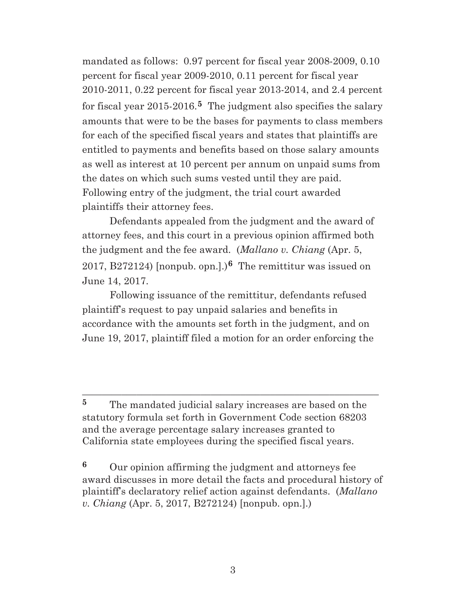mandated as follows: 0.97 percent for fiscal year 2008-2009, 0.10 percent for fiscal year 2009-2010, 0.11 percent for fiscal year 2010-2011, 0.22 percent for fiscal year 2013-2014, and 2.4 percent for fiscal year 2015-2016.**5** The judgment also specifies the salary amounts that were to be the bases for payments to class members for each of the specified fiscal years and states that plaintiffs are entitled to payments and benefits based on those salary amounts as well as interest at 10 percent per annum on unpaid sums from the dates on which such sums vested until they are paid. Following entry of the judgment, the trial court awarded plaintiffs their attorney fees.

Defendants appealed from the judgment and the award of attorney fees, and this court in a previous opinion affirmed both the judgment and the fee award. (*Mallano v. Chiang* (Apr. 5, 2017, B272124) [nonpub. opn.].)**6** The remittitur was issued on June 14, 2017.

 Following issuance of the remittitur, defendants refused plaintiff's request to pay unpaid salaries and benefits in accordance with the amounts set forth in the judgment, and on June 19, 2017, plaintiff filed a motion for an order enforcing the

**5** The mandated judicial salary increases are based on the statutory formula set forth in Government Code section 68203 and the average percentage salary increases granted to California state employees during the specified fiscal years.

\_\_\_\_\_\_\_\_\_\_\_\_\_\_\_\_\_\_\_\_\_\_\_\_\_\_\_\_\_\_\_\_\_\_\_\_\_\_\_\_\_\_\_\_\_\_\_\_\_\_\_\_\_\_\_\_\_\_\_\_

**<sup>6</sup>** Our opinion affirming the judgment and attorneys fee award discusses in more detail the facts and procedural history of plaintiff's declaratory relief action against defendants. (*Mallano v. Chiang* (Apr. 5, 2017, B272124) [nonpub. opn.].)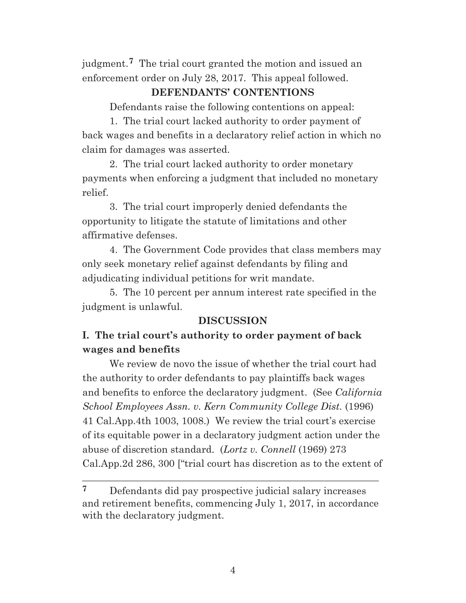judgment.**7** The trial court granted the motion and issued an enforcement order on July 28, 2017. This appeal followed.

#### **DEFENDANTS' CONTENTIONS**

Defendants raise the following contentions on appeal:

1. The trial court lacked authority to order payment of back wages and benefits in a declaratory relief action in which no claim for damages was asserted.

2. The trial court lacked authority to order monetary payments when enforcing a judgment that included no monetary relief.

3. The trial court improperly denied defendants the opportunity to litigate the statute of limitations and other affirmative defenses.

4. The Government Code provides that class members may only seek monetary relief against defendants by filing and adjudicating individual petitions for writ mandate.

5. The 10 percent per annum interest rate specified in the judgment is unlawful.

## **DISCUSSION**

# **I. The trial court's authority to order payment of back wages and benefits**

We review de novo the issue of whether the trial court had the authority to order defendants to pay plaintiffs back wages and benefits to enforce the declaratory judgment. (See *California School Employees Assn. v. Kern Community College Dist.* (1996) 41 Cal.App.4th 1003, 1008.) We review the trial court's exercise of its equitable power in a declaratory judgment action under the abuse of discretion standard. (*Lortz v. Connell* (1969) 273 Cal.App.2d 286, 300 ["trial court has discretion as to the extent of

 $\frac{1}{2}$  , and the set of the set of the set of the set of the set of the set of the set of the set of the set of the set of the set of the set of the set of the set of the set of the set of the set of the set of the set

**<sup>7</sup>** Defendants did pay prospective judicial salary increases and retirement benefits, commencing July 1, 2017, in accordance with the declaratory judgment.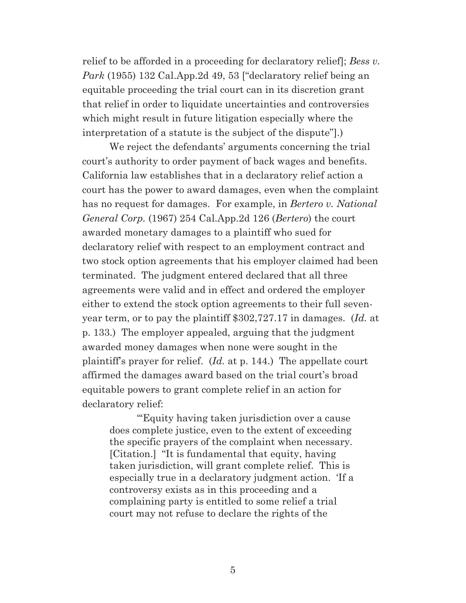relief to be afforded in a proceeding for declaratory relief]; *Bess v. Park* (1955) 132 Cal.App.2d 49, 53 ["declaratory relief being an equitable proceeding the trial court can in its discretion grant that relief in order to liquidate uncertainties and controversies which might result in future litigation especially where the interpretation of a statute is the subject of the dispute"].)

We reject the defendants' arguments concerning the trial court's authority to order payment of back wages and benefits. California law establishes that in a declaratory relief action a court has the power to award damages, even when the complaint has no request for damages. For example, in *Bertero v. National General Corp.* (1967) 254 Cal.App.2d 126 (*Bertero*) the court awarded monetary damages to a plaintiff who sued for declaratory relief with respect to an employment contract and two stock option agreements that his employer claimed had been terminated. The judgment entered declared that all three agreements were valid and in effect and ordered the employer either to extend the stock option agreements to their full sevenyear term, or to pay the plaintiff \$302,727.17 in damages. (*Id.* at p. 133.) The employer appealed, arguing that the judgment awarded money damages when none were sought in the plaintiff's prayer for relief. (*Id.* at p. 144.) The appellate court affirmed the damages award based on the trial court's broad equitable powers to grant complete relief in an action for declaratory relief:

"'Equity having taken jurisdiction over a cause does complete justice, even to the extent of exceeding the specific prayers of the complaint when necessary. [Citation.] "It is fundamental that equity, having taken jurisdiction, will grant complete relief. This is especially true in a declaratory judgment action. 'If a controversy exists as in this proceeding and a complaining party is entitled to some relief a trial court may not refuse to declare the rights of the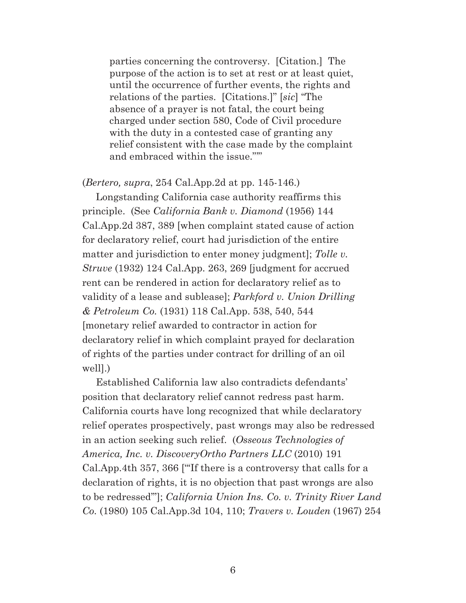parties concerning the controversy. [Citation.] The purpose of the action is to set at rest or at least quiet, until the occurrence of further events, the rights and relations of the parties. [Citations.]" [*sic*] "The absence of a prayer is not fatal, the court being charged under section 580, Code of Civil procedure with the duty in a contested case of granting any relief consistent with the case made by the complaint and embraced within the issue."'"

(*Bertero, supra*, 254 Cal.App.2d at pp. 145-146.)

Longstanding California case authority reaffirms this principle. (See *California Bank v. Diamond* (1956) 144 Cal.App.2d 387, 389 [when complaint stated cause of action for declaratory relief, court had jurisdiction of the entire matter and jurisdiction to enter money judgment]; *Tolle v. Struve* (1932) 124 Cal.App. 263, 269 [judgment for accrued rent can be rendered in action for declaratory relief as to validity of a lease and sublease]; *Parkford v. Union Drilling & Petroleum Co.* (1931) 118 Cal.App. 538, 540, 544 [monetary relief awarded to contractor in action for declaratory relief in which complaint prayed for declaration of rights of the parties under contract for drilling of an oil well].)

Established California law also contradicts defendants' position that declaratory relief cannot redress past harm. California courts have long recognized that while declaratory relief operates prospectively, past wrongs may also be redressed in an action seeking such relief. (*Osseous Technologies of America, Inc. v. DiscoveryOrtho Partners LLC* (2010) 191 Cal.App.4th 357, 366 ["'If there is a controversy that calls for a declaration of rights, it is no objection that past wrongs are also to be redressed'"]; *California Union Ins. Co. v. Trinity River Land Co.* (1980) 105 Cal.App.3d 104, 110; *Travers v. Louden* (1967) 254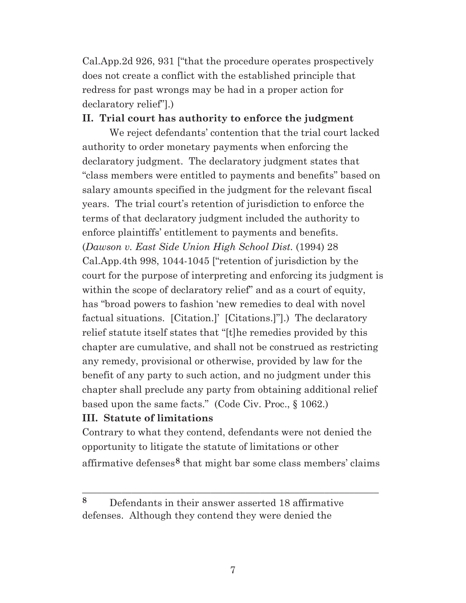Cal.App.2d 926, 931 ["that the procedure operates prospectively does not create a conflict with the established principle that redress for past wrongs may be had in a proper action for declaratory relief"].)

#### **II. Trial court has authority to enforce the judgment**

We reject defendants' contention that the trial court lacked authority to order monetary payments when enforcing the declaratory judgment. The declaratory judgment states that "class members were entitled to payments and benefits" based on salary amounts specified in the judgment for the relevant fiscal years. The trial court's retention of jurisdiction to enforce the terms of that declaratory judgment included the authority to enforce plaintiffs' entitlement to payments and benefits. (*Dawson v. East Side Union High School Dist.* (1994) 28 Cal.App.4th 998, 1044-1045 ["retention of jurisdiction by the court for the purpose of interpreting and enforcing its judgment is within the scope of declaratory relief" and as a court of equity, has "broad powers to fashion 'new remedies to deal with novel factual situations. [Citation.]' [Citations.]"].) The declaratory relief statute itself states that "[t]he remedies provided by this chapter are cumulative, and shall not be construed as restricting any remedy, provisional or otherwise, provided by law for the benefit of any party to such action, and no judgment under this chapter shall preclude any party from obtaining additional relief based upon the same facts." (Code Civ. Proc., § 1062.)

## **III. Statute of limitations**

Contrary to what they contend, defendants were not denied the opportunity to litigate the statute of limitations or other affirmative defenses**8** that might bar some class members' claims

 $\_$  ,  $\_$  ,  $\_$  ,  $\_$  ,  $\_$  ,  $\_$  ,  $\_$  ,  $\_$  ,  $\_$  ,  $\_$  ,  $\_$  ,  $\_$  ,  $\_$  ,  $\_$  ,  $\_$  ,  $\_$  ,  $\_$  ,  $\_$  ,  $\_$  ,  $\_$ 

**<sup>8</sup>** Defendants in their answer asserted 18 affirmative defenses. Although they contend they were denied the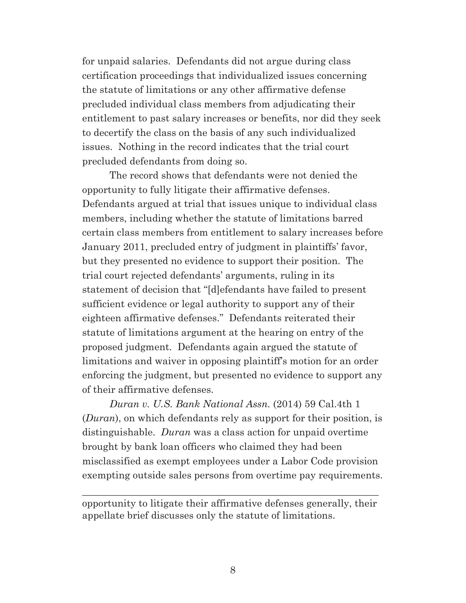for unpaid salaries. Defendants did not argue during class certification proceedings that individualized issues concerning the statute of limitations or any other affirmative defense precluded individual class members from adjudicating their entitlement to past salary increases or benefits, nor did they seek to decertify the class on the basis of any such individualized issues. Nothing in the record indicates that the trial court precluded defendants from doing so.

The record shows that defendants were not denied the opportunity to fully litigate their affirmative defenses. Defendants argued at trial that issues unique to individual class members, including whether the statute of limitations barred certain class members from entitlement to salary increases before January 2011, precluded entry of judgment in plaintiffs' favor, but they presented no evidence to support their position. The trial court rejected defendants' arguments, ruling in its statement of decision that "[d]efendants have failed to present sufficient evidence or legal authority to support any of their eighteen affirmative defenses." Defendants reiterated their statute of limitations argument at the hearing on entry of the proposed judgment. Defendants again argued the statute of limitations and waiver in opposing plaintiff's motion for an order enforcing the judgment, but presented no evidence to support any of their affirmative defenses.

*Duran v. U.S. Bank National Assn.* (2014) 59 Cal.4th 1 (*Duran*), on which defendants rely as support for their position, is distinguishable. *Duran* was a class action for unpaid overtime brought by bank loan officers who claimed they had been misclassified as exempt employees under a Labor Code provision exempting outside sales persons from overtime pay requirements.

opportunity to litigate their affirmative defenses generally, their appellate brief discusses only the statute of limitations.

\_\_\_\_\_\_\_\_\_\_\_\_\_\_\_\_\_\_\_\_\_\_\_\_\_\_\_\_\_\_\_\_\_\_\_\_\_\_\_\_\_\_\_\_\_\_\_\_\_\_\_\_\_\_\_\_\_\_\_\_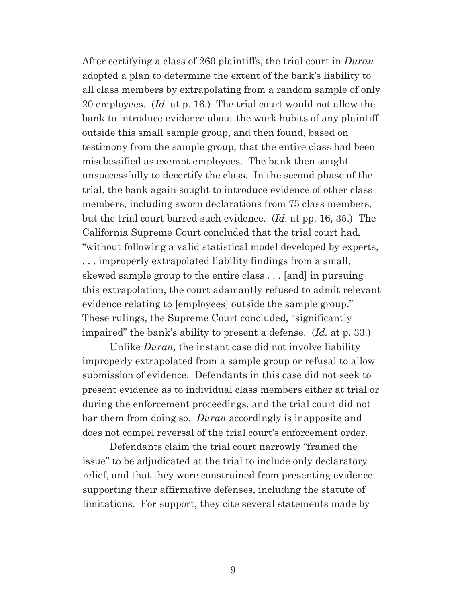After certifying a class of 260 plaintiffs, the trial court in *Duran*  adopted a plan to determine the extent of the bank's liability to all class members by extrapolating from a random sample of only 20 employees. (*Id.* at p. 16.) The trial court would not allow the bank to introduce evidence about the work habits of any plaintiff outside this small sample group, and then found, based on testimony from the sample group, that the entire class had been misclassified as exempt employees. The bank then sought unsuccessfully to decertify the class. In the second phase of the trial, the bank again sought to introduce evidence of other class members, including sworn declarations from 75 class members, but the trial court barred such evidence. (*Id.* at pp. 16, 35.) The California Supreme Court concluded that the trial court had, "without following a valid statistical model developed by experts, . . . improperly extrapolated liability findings from a small, skewed sample group to the entire class . . . [and] in pursuing this extrapolation, the court adamantly refused to admit relevant evidence relating to [employees] outside the sample group." These rulings, the Supreme Court concluded, "significantly impaired" the bank's ability to present a defense. (*Id.* at p. 33.)

Unlike *Duran,* the instant case did not involve liability improperly extrapolated from a sample group or refusal to allow submission of evidence. Defendants in this case did not seek to present evidence as to individual class members either at trial or during the enforcement proceedings, and the trial court did not bar them from doing so. *Duran* accordingly is inapposite and does not compel reversal of the trial court's enforcement order.

Defendants claim the trial court narrowly "framed the issue" to be adjudicated at the trial to include only declaratory relief, and that they were constrained from presenting evidence supporting their affirmative defenses, including the statute of limitations. For support, they cite several statements made by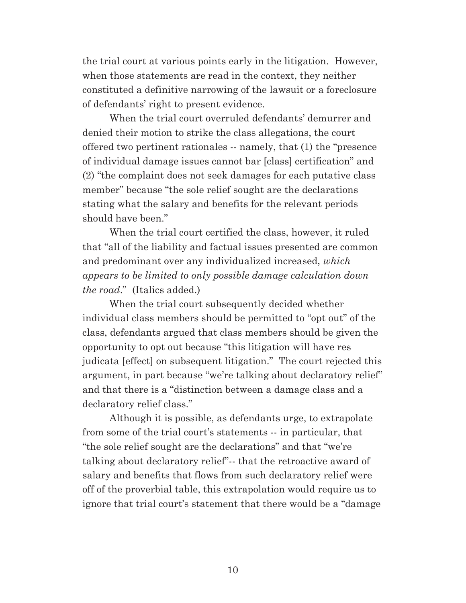the trial court at various points early in the litigation. However, when those statements are read in the context, they neither constituted a definitive narrowing of the lawsuit or a foreclosure of defendants' right to present evidence.

When the trial court overruled defendants' demurrer and denied their motion to strike the class allegations, the court offered two pertinent rationales -- namely, that (1) the "presence of individual damage issues cannot bar [class] certification" and (2) "the complaint does not seek damages for each putative class member" because "the sole relief sought are the declarations stating what the salary and benefits for the relevant periods should have been."

When the trial court certified the class, however, it ruled that "all of the liability and factual issues presented are common and predominant over any individualized increased, *which appears to be limited to only possible damage calculation down the road*." (Italics added.)

When the trial court subsequently decided whether individual class members should be permitted to "opt out" of the class, defendants argued that class members should be given the opportunity to opt out because "this litigation will have res judicata [effect] on subsequent litigation." The court rejected this argument, in part because "we're talking about declaratory relief" and that there is a "distinction between a damage class and a declaratory relief class."

Although it is possible, as defendants urge, to extrapolate from some of the trial court's statements -- in particular, that "the sole relief sought are the declarations" and that "we're talking about declaratory relief"-- that the retroactive award of salary and benefits that flows from such declaratory relief were off of the proverbial table, this extrapolation would require us to ignore that trial court's statement that there would be a "damage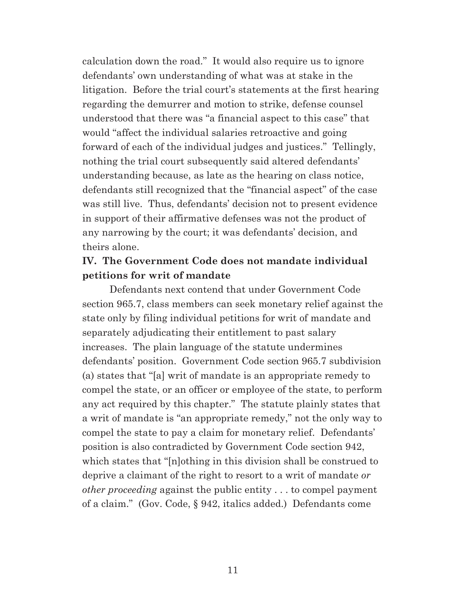calculation down the road." It would also require us to ignore defendants' own understanding of what was at stake in the litigation. Before the trial court's statements at the first hearing regarding the demurrer and motion to strike, defense counsel understood that there was "a financial aspect to this case" that would "affect the individual salaries retroactive and going forward of each of the individual judges and justices." Tellingly, nothing the trial court subsequently said altered defendants' understanding because, as late as the hearing on class notice, defendants still recognized that the "financial aspect" of the case was still live. Thus, defendants' decision not to present evidence in support of their affirmative defenses was not the product of any narrowing by the court; it was defendants' decision, and theirs alone.

## **IV. The Government Code does not mandate individual petitions for writ of mandate**

Defendants next contend that under Government Code section 965.7, class members can seek monetary relief against the state only by filing individual petitions for writ of mandate and separately adjudicating their entitlement to past salary increases. The plain language of the statute undermines defendants' position. Government Code section 965.7 subdivision (a) states that "[a] writ of mandate is an appropriate remedy to compel the state, or an officer or employee of the state, to perform any act required by this chapter." The statute plainly states that a writ of mandate is "an appropriate remedy," not the only way to compel the state to pay a claim for monetary relief. Defendants' position is also contradicted by Government Code section 942, which states that "[n]othing in this division shall be construed to deprive a claimant of the right to resort to a writ of mandate *or other proceeding* against the public entity . . . to compel payment of a claim." (Gov. Code, § 942, italics added.) Defendants come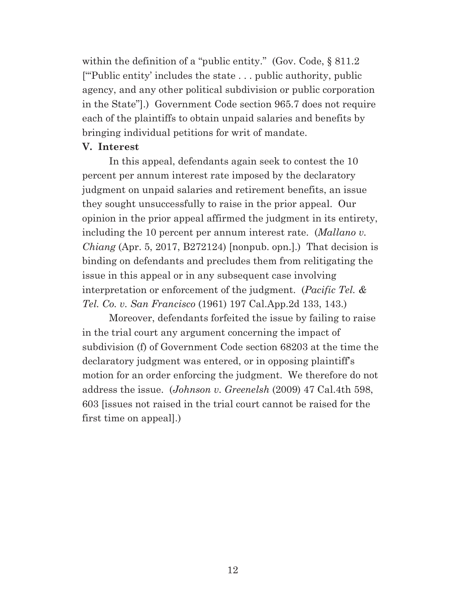within the definition of a "public entity." (Gov. Code, § 811.2) ["'Public entity' includes the state . . . public authority, public agency, and any other political subdivision or public corporation in the State"].) Government Code section 965.7 does not require each of the plaintiffs to obtain unpaid salaries and benefits by bringing individual petitions for writ of mandate.

#### **V. Interest**

In this appeal, defendants again seek to contest the 10 percent per annum interest rate imposed by the declaratory judgment on unpaid salaries and retirement benefits, an issue they sought unsuccessfully to raise in the prior appeal. Our opinion in the prior appeal affirmed the judgment in its entirety, including the 10 percent per annum interest rate. (*Mallano v. Chiang* (Apr. 5, 2017, B272124) [nonpub. opn.].) That decision is binding on defendants and precludes them from relitigating the issue in this appeal or in any subsequent case involving interpretation or enforcement of the judgment. (*Pacific Tel. & Tel. Co. v. San Francisco* (1961) 197 Cal.App.2d 133, 143.)

Moreover, defendants forfeited the issue by failing to raise in the trial court any argument concerning the impact of subdivision (f) of Government Code section 68203 at the time the declaratory judgment was entered, or in opposing plaintiff's motion for an order enforcing the judgment. We therefore do not address the issue. (*Johnson v. Greenelsh* (2009) 47 Cal.4th 598, 603 [issues not raised in the trial court cannot be raised for the first time on appeal].)